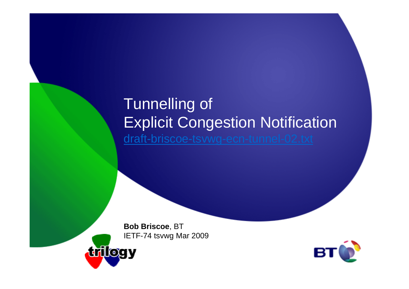## Tunnelling of Explicit Congestion Notificationdraft-briscoe-tsvwg-ecn-tunnel-02.txt

**Bob Briscoe**, BTIETF-74 tsvwg Mar 2009



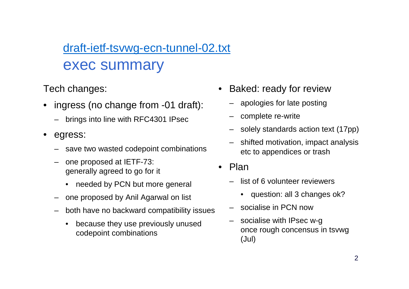#### draft-ietf-tsvwg-ecn-tunnel-02.txtexec summary

Tech changes:

- • ingress (no change from -01 draft):
	- –brings into line with RFC4301 IPsec
- • egress:
	- –save two wasted codepoint combinations
	- – one proposed at IETF-73: generally agreed to go for it
		- needed by PCN but more general
	- –one proposed by Anil Agarwal on list
	- – both have no backward compatibility issues
		- • because they use previously unused codepoint combinations
- • Baked: ready for review
	- apologies for late posting–
	- –complete re-write
	- –solely standards action text (17pp)
	- – shifted motivation, impact analysis etc to appendices or trash
- Plan
	- – list of 6 volunteer reviewers
		- question: all 3 changes ok?
	- socialise in PCN now
	- – socialise with IPsec w-g once rough concensus in tsvwg(Jul)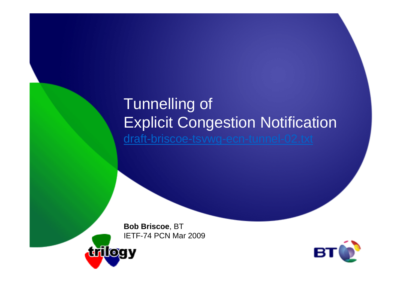## Tunnelling of Explicit Congestion Notificationdraft-briscoe-tsvwg-ecn-tunnel-02.txt

**Bob Briscoe**, BTIETF-74 PCN Mar 2009



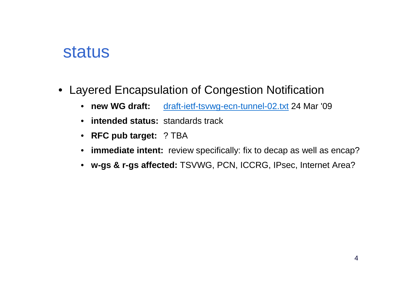## status

- Layered Encapsulation of Congestion Notification
	- new WG draft: draft-ietf-tsvwg-ecn-tunnel-02.txt 24 Mar '09
	- **intended status:** standards track
	- **RFC pub target:** ? TBA
	- **immediate intent:** review specifically: fix to decap as well as encap?
	- **w-gs & r-gs affected:** TSVWG, PCN, ICCRG, IPsec, Internet Area?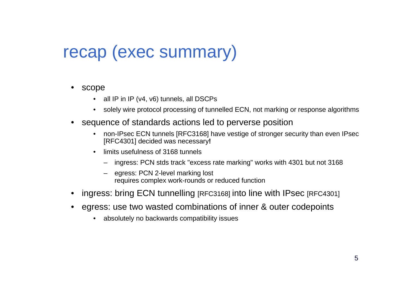# recap (exec summary)

- $\bullet$  scope
	- all IP in IP (v4, v6) tunnels, all DSCPs
	- •solely wire protocol processing of tunnelled ECN, not marking or response algorithms
- sequence of standards actions led to perverse position
	- non-IPsec ECN tunnels [RFC3168] have vestige of stronger security than even IPsec $\bullet$ [RFC4301] decided was necessary**!**
	- $\bullet$  limits usefulness of 3168 tunnels
		- ingress: PCN stds track "excess rate marking" works with 4301 but not 3168
		- egress: PCN 2-level marking lost requires complex work-rounds or reduced function
- •ingress: bring ECN tunnelling [RFC3168] into line with IPsec [RFC4301]
- • egress: use two wasted combinations of inner & outer codepoints
	- $\bullet$ absolutely no backwards compatibility issues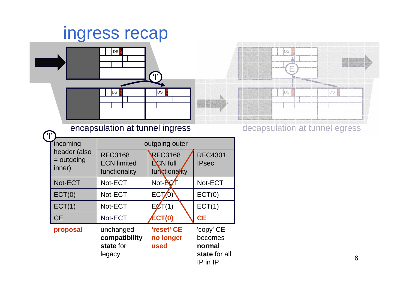# ingress recap



encapsulation at tunnel ingress decapsulation at tunnel egress

| incoming                               | outgoing outer                                        |                                                    |                                                                 |  |  |  |
|----------------------------------------|-------------------------------------------------------|----------------------------------------------------|-----------------------------------------------------------------|--|--|--|
| header (also<br>$=$ outgoing<br>inner) | <b>RFC3168</b><br><b>ECN limited</b><br>functionality | <b>RFC3168</b><br><b>ECN</b> full<br>functionality | <b>RFC4301</b><br><b>IPsec</b>                                  |  |  |  |
| Not-ECT                                | Not-ECT                                               | Not- <b>AC</b>                                     | Not-ECT                                                         |  |  |  |
| ECT(0)                                 | Not-ECT                                               | ECT(0)                                             | ECT(0)                                                          |  |  |  |
| ECT(1)                                 | Not-ECT                                               | EZT(1)                                             | ECT(1)                                                          |  |  |  |
| <b>CE</b>                              | Not-ECT                                               | <b>ECT(0)</b>                                      | <b>CE</b>                                                       |  |  |  |
| proposal                               | unchanged<br>compatibility<br>state for<br>legacy     | 'reset' CE<br>no longer<br>used                    | 'copy' CE<br>becomes<br>normal<br>state for all<br>$IP$ in $IP$ |  |  |  |

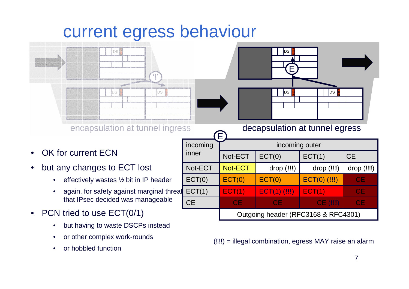# current egress behaviour



- •OK for current ECN
- • but any changes to ECT lost
	- •effectively wastes ½ bit in IP header
	- • again, for safety against marginal threat that IPsec decided was manageable
- • PCN tried to use ECT(0/1)
	- •but having to waste DSCPs instead
	- •or other complex work-rounds
	- •or hobbled function



(**!!!**) = illegal combination, egress MAY raise an alarm

**N**DS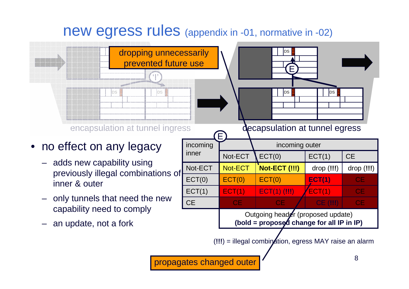#### new egress rules (appendix in -01, normative in -02)

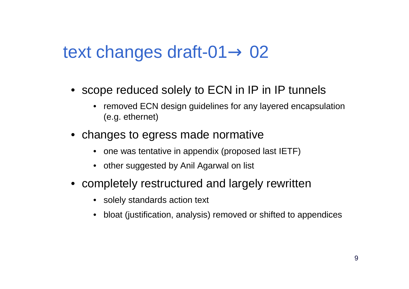# text changes draft-01 $\rightarrow$  02

- scope reduced solely to ECN in IP in IP tunnels
	- $\bullet$  removed ECN design guidelines for any layered encapsulation (e.g. ethernet)
- changes to egress made normative
	- one was tentative in appendix (proposed last IETF)
	- other suggested by Anil Agarwal on list
- completely restructured and largely rewritten
	- solely standards action text
	- •bloat (justification, analysis) removed or shifted to appendices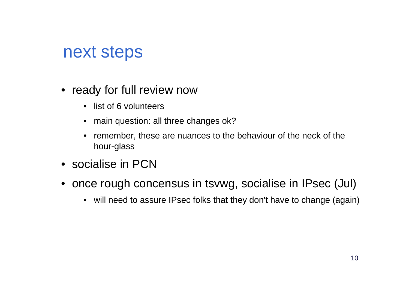# next steps

- ready for full review now
	- list of 6 volunteers
	- main question: all three changes ok?
	- remember, these are nuances to the behaviour of the neck of the hour-glass
- socialise in PCN
- once rough concensus in tsvwg, socialise in IPsec (Jul)
	- will need to assure IPsec folks that they don't have to change (again)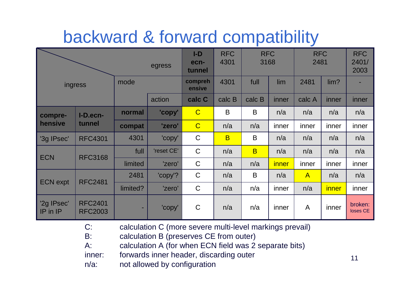# backward & forward compatibility

|                               |                                  | egress   | $I-D$<br>ecn-<br>tunnel | <b>RFC</b><br>4301 | <b>RFC</b><br>3168 |                         | <b>RFC</b><br>2481 |              | <b>RFC</b><br>2401/<br>2003 |                     |
|-------------------------------|----------------------------------|----------|-------------------------|--------------------|--------------------|-------------------------|--------------------|--------------|-----------------------------|---------------------|
| mode<br>ingress               |                                  |          |                         | compreh<br>ensive  | 4301               | full                    | lim                | 2481         | lim?                        |                     |
|                               |                                  |          | action                  | calc C             | calc B             | calc B                  | inner              | calc A       | inner                       | inner               |
| compre-                       | I-D.ecn-<br>tunnel               | normal   | 'copy'                  | $\overline{C}$     | $\mathsf B$        | $\mathsf B$             | n/a                | n/a          | n/a                         | n/a                 |
| hensive                       |                                  | compat   | 'zero'                  | $\overline{C}$     | n/a                | n/a                     | inner              | inner        | inner                       | inner               |
| '3g IPsec'                    | <b>RFC4301</b>                   | 4301     | 'copy'                  | $\mathsf C$        | $\overline{B}$     | B                       | n/a                | n/a          | n/a                         | n/a                 |
| <b>ECN</b>                    | <b>RFC3168</b>                   | full     | 'reset CE'              | $\mathsf C$        | n/a                | $\overline{\mathsf{B}}$ | n/a                | n/a          | n/a                         | n/a                 |
|                               |                                  | limited  | 'zero'                  | $\mathsf C$        | n/a                | n/a                     | <i>inner</i>       | inner        | inner                       | inner               |
| <b>ECN</b> expt               | <b>RFC2481</b>                   | 2481     | 'copy'?                 | $\mathsf C$        | n/a                | B                       | n/a                | $\mathsf{A}$ | n/a                         | n/a                 |
|                               |                                  | limited? | 'zero'                  | $\mathsf C$        | n/a                | n/a                     | inner              | n/a          | <i>inner</i>                | inner               |
| '2g IPsec'<br><b>IP</b> in IP | <b>RFC2401</b><br><b>RFC2003</b> |          | 'copy'                  | $\mathsf C$        | n/a                | n/a                     | inner              | $\mathsf{A}$ | inner                       | broken:<br>loses CE |

C: calculation C (more severe multi-level markings prevail)

B: calculation B (preserves CE from outer)

A: calculation A (for when ECN field was 2 separate bits)

inner: forwards inner header, discarding outer

n/a: not allowed by configuration